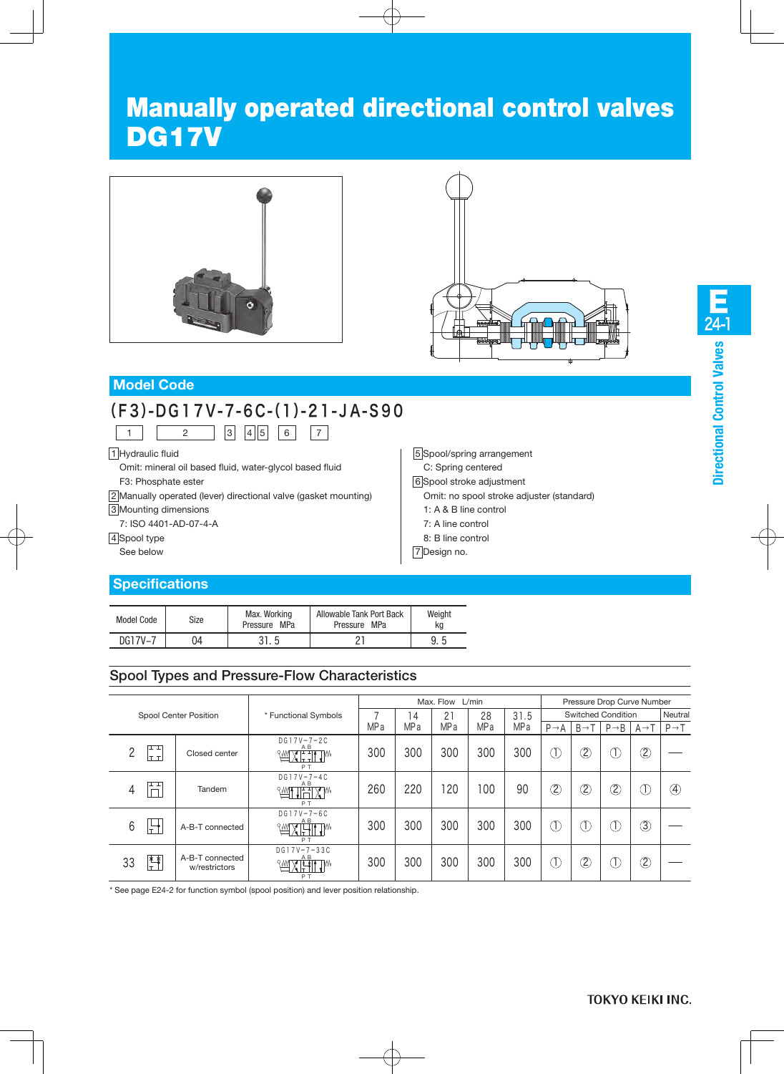# Manually operated directional control valves DG17V





### **Model Code**

# (F3)-DG17V-7-6C-(1)-21-JA-S90

1 | 2 | 3 | 4 | 5 | 6 | 7

1 Hydraulic fluid

Omit: mineral oil based fluid, water-glycol based fluid F3: Phosphate ester

2 Manually operated (lever) directional valve (gasket mounting)

3 Mounting dimensions

7: ISO 4401-AD-07-4-A

#### 4 Spool type

See below

# **Specifications**

| 1: $A \& B$ line control |
|--------------------------|
| 7: A line control        |
| 8: B line control        |
| 7 Design no.             |
|                          |

5 Spool/spring arrangement C: Spring centered 6 Spool stroke adjustment

Omit: no spool stroke adjuster (standard)

| Model Code | Size | Max. Working<br>Pressure MPa | Allowable Tank Port Back<br>Pressure MPa | Weight<br>ka |
|------------|------|------------------------------|------------------------------------------|--------------|
| DG17V-7    | )4   | 31.5                         | י מ                                      | 9.5          |

# Spool Types and Pressure-Flow Characteristics

|    |                   |                                  |                                                   |      | Max. Flow L/min |                 |                 |                 |                                       |                   | Pressure Drop Curve Number |                 |                   |  |  |
|----|-------------------|----------------------------------|---------------------------------------------------|------|-----------------|-----------------|-----------------|-----------------|---------------------------------------|-------------------|----------------------------|-----------------|-------------------|--|--|
|    |                   | Spool Center Position            | * Functional Symbols                              |      | 4               | 21              | 28              | 31.5            |                                       |                   | <b>Switched Condition</b>  |                 | Neutral           |  |  |
|    |                   |                                  |                                                   | MP a | MP <sub>a</sub> | MP <sub>a</sub> | MP <sub>a</sub> | MP <sub>a</sub> | $P \rightarrow A$                     | $B \rightarrow T$ | $P \rightarrow B$          | $A \rightarrow$ | $P \rightarrow T$ |  |  |
| ∩  | ᄑ<br>lt ti        | Closed center                    | $DG17V - 7 - 2C$<br>A B<br>WXETIW<br>PT           | 300  | 300             | 300             | 300             | 300             | Œ                                     | $^{\circledR}$    | T.                         | $^{\circledR}$  |                   |  |  |
| 4  | ᄑ                 | Tandem                           | $DG17V - 7 - 4C$<br>A B<br><b>WITHIXM</b><br>PT   | 260  | 220             | 120             | 100             | 90              | $^{\circledR}$                        | $^\mathbb{Q}$     | C)                         | T               | ④                 |  |  |
| 6  | $\overline{1\pm}$ | A-B-T connected                  | $DG17V - 7 - 6C$<br>A B<br><b>WXETH</b><br>PT     | 300  | 300             | 300             | 300             | 300             | Œ                                     | Œ                 | T                          | ③               |                   |  |  |
| 33 | 警                 | A-B-T connected<br>w/restrictors | $DG17V - 7 - 33C$<br>A B<br><b>MARTILIM</b><br>PT | 300  | 300             | 300             | 300             | 300             | $\left( \overline{\mathrm{T}}\right)$ | Ò,                | D                          | $^{\circledR}$  |                   |  |  |

\* See page E24-2 for function symbol (spool position) and lever position relationship.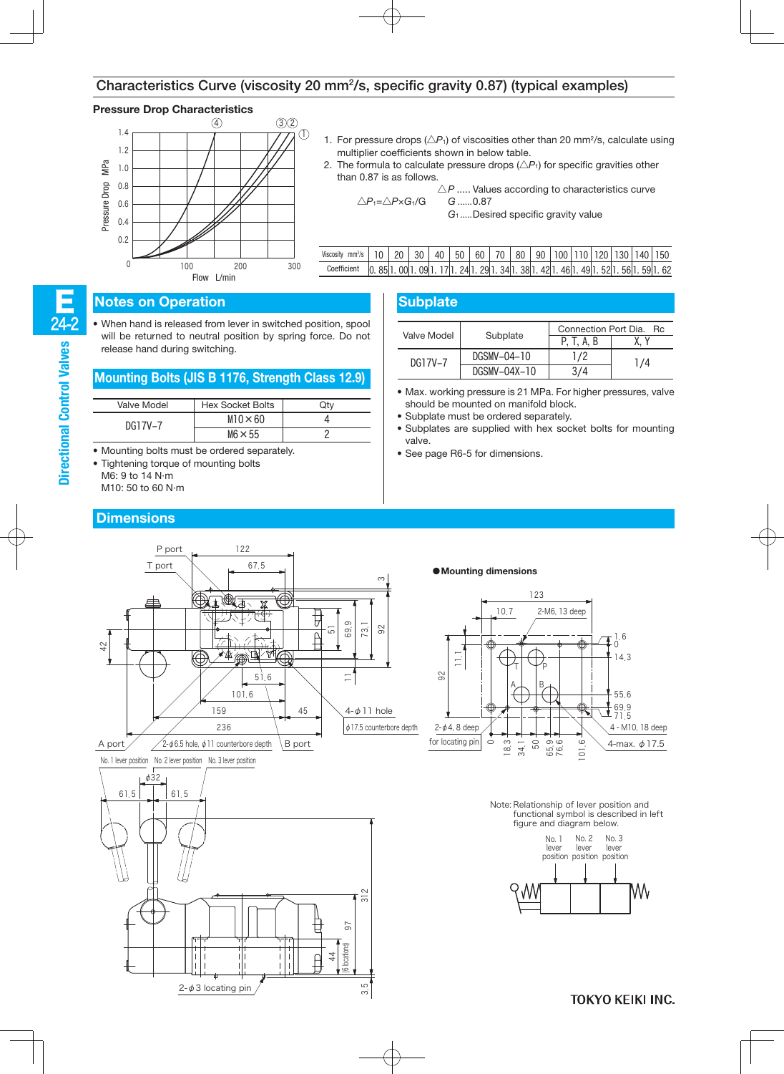#### Characteristics Curve (viscosity 20 mm2/s, specific gravity 0.87) (typical examples)

#### **Pressure Drop Characteristics**



| 1. For pressure drops $(\triangle P_1)$ of viscosities other than 20 mm <sup>2</sup> /s, calculate using |
|----------------------------------------------------------------------------------------------------------|
| multiplier coefficients shown in below table.                                                            |

2. The formula to calculate pressure drops  $(\triangle P_1)$  for specific gravities other than 0.87 is as follows.

$$
\triangle P
$$
.... Values according to characteristics curve  

$$
\triangle P_1 = \triangle P \times G_1/G
$$
 
$$
G_1
$$
....
$$
0.87
$$

| Viscosity mm <sup>2</sup> /s   10   20   30   40   50   60   70   80   90   100   110   120   130   140   150 |  |  |  |  |  |  |  |  |
|---------------------------------------------------------------------------------------------------------------|--|--|--|--|--|--|--|--|
| Coefficient   0. 85 1. 00 1. 09 1. 17 1. 24 1. 29 1. 34 1. 38 1. 42 1. 46 1. 49 1. 52 1. 56 1. 59 1. 62       |  |  |  |  |  |  |  |  |

#### **Notes on Operation**

24-2 E

**Directional Control Valves**

• When hand is released from lever in switched position, spool will be returned to neutral position by spring force. Do not release hand during switching.

#### **Mounting Bolts (JIS B 1176, Strength Class 12.9)**

| Valve Model | <b>Hex Socket Bolts</b> |  |
|-------------|-------------------------|--|
| DG17V-7     | $M10 \times 60$         |  |
|             | $M6 \times 55$          |  |

- Mounting bolts must be ordered separately.
- Tightening torque of mounting bolts
	- M6: 9 to 14 N·m
	- M10: 50 to 60 N·m

#### **Dimensions**

| <b>Subplate</b> |              |                                       |    |  |  |  |
|-----------------|--------------|---------------------------------------|----|--|--|--|
| Valve Model     | Subplate     | Connection Port Dia. Ro<br>P. T. A. B |    |  |  |  |
| DG17V-7         | DGSMV-04-10  | 172                                   | /4 |  |  |  |
|                 | DGSMV-04X-10 |                                       |    |  |  |  |

A

10.7

 $\circ$ 

183. 341

<u>די</u>

 $T$   $T$  P B

50

თ დ<br>65<br>767

123

. 2-M6, 13 deep

- Max. working pressure is 21 MPa. For higher pressures, valve should be mounted on manifold block.
- Subplate must be ordered separately.
- Subplates are supplied with hex socket bolts for mounting valve.
- See page R6-5 for dimensions.



No. 1 lever position No. 2 lever position No. 3 lever position



Note: Relationship of lever position and functional symbol is described in left figure and diagram below.

1016 .

 $\cup$ 

16.

143 .

69.9<br>71.5 . 556

4-max. φ17.5

4 - M10, 18 deep